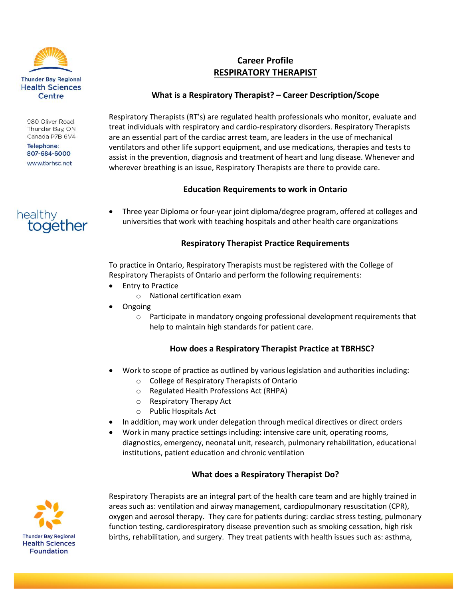

980 Oliver Road Thunder Bay, ON Canada P7B 6V4

**Telephone:** 807-684-6000 www.tbrhsc.net



# **Career Profile RESPIRATORY THERAPIST**

### **What is a Respiratory Therapist? – Career Description/Scope**

Respiratory Therapists (RT's) are regulated health professionals who monitor, evaluate and treat individuals with respiratory and cardio-respiratory disorders. Respiratory Therapists are an essential part of the cardiac arrest team, are leaders in the use of mechanical ventilators and other life support equipment, and use medications, therapies and tests to assist in the prevention, diagnosis and treatment of heart and lung disease. Whenever and wherever breathing is an issue, Respiratory Therapists are there to provide care.

### **Education Requirements to work in Ontario**

 Three year Diploma or four-year joint diploma/degree program, offered at colleges and universities that work with teaching hospitals and other health care organizations

### **Respiratory Therapist Practice Requirements**

To practice in Ontario, Respiratory Therapists must be registered with the College of Respiratory Therapists of Ontario and perform the following requirements:

- Entry to Practice
	- o National certification exam
- Ongoing
	- o Participate in mandatory ongoing professional development requirements that help to maintain high standards for patient care.

# **How does a Respiratory Therapist Practice at TBRHSC?**

- Work to scope of practice as outlined by various legislation and authorities including:
	- o College of Respiratory Therapists of Ontario
	- o Regulated Health Professions Act (RHPA)
	- o Respiratory Therapy Act
	- o Public Hospitals Act
- In addition, may work under delegation through medical directives or direct orders
- Work in many practice settings including: intensive care unit, operating rooms, diagnostics, emergency, neonatal unit, research, pulmonary rehabilitation, educational institutions, patient education and chronic ventilation

# **What does a Respiratory Therapist Do?**



Respiratory Therapists are an integral part of the health care team and are highly trained in areas such as: ventilation and airway management, cardiopulmonary resuscitation (CPR), oxygen and aerosol therapy. They care for patients during: cardiac stress testing, pulmonary function testing, cardiorespiratory disease prevention such as smoking cessation, high risk births, rehabilitation, and surgery. They treat patients with health issues such as: asthma,